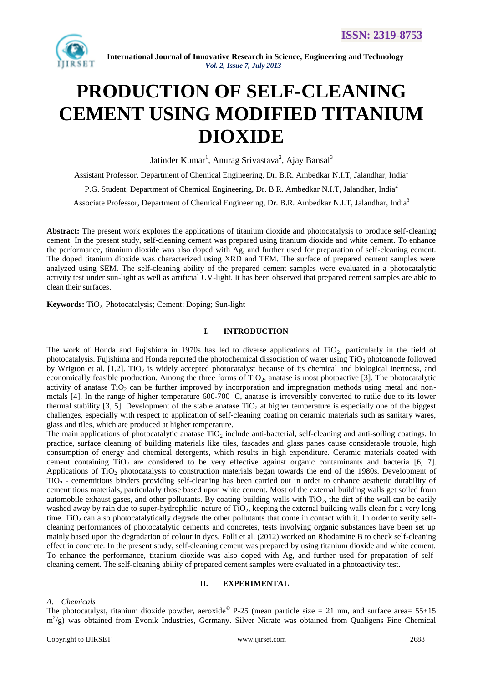

# **PRODUCTION OF SELF-CLEANING CEMENT USING MODIFIED TITANIUM DIOXIDE**

Jatinder Kumar<sup>1</sup>, Anurag Srivastava<sup>2</sup>, Ajay Bansal<sup>3</sup>

Assistant Professor, Department of Chemical Engineering, Dr. B.R. Ambedkar N.I.T, Jalandhar, India<sup>1</sup>

P.G. Student, Department of Chemical Engineering, Dr. B.R. Ambedkar N.I.T, Jalandhar, India<sup>2</sup>

Associate Professor, Department of Chemical Engineering, Dr. B.R. Ambedkar N.I.T, Jalandhar, India<sup>3</sup>

**Abstract:** The present work explores the applications of titanium dioxide and photocatalysis to produce self-cleaning cement. In the present study, self-cleaning cement was prepared using titanium dioxide and white cement. To enhance the performance, titanium dioxide was also doped with Ag, and further used for preparation of self-cleaning cement. The doped titanium dioxide was characterized using XRD and TEM. The surface of prepared cement samples were analyzed using SEM. The self-cleaning ability of the prepared cement samples were evaluated in a photocatalytic activity test under sun-light as well as artificial UV-light. It has been observed that prepared cement samples are able to clean their surfaces.

Keywords: TiO<sub>2</sub>. Photocatalysis; Cement; Doping; Sun-light

#### **I. INTRODUCTION**

The work of Honda and Fujishima in 1970s has led to diverse applications of  $TiO<sub>2</sub>$ , particularly in the field of photocatalysis. Fujishima and Honda reported the photochemical dissociation of water using  $TiO<sub>2</sub>$  photoanode followed by Wrigton et al.  $[1,2]$ . TiO<sub>2</sub> is widely accepted photocatalyst because of its chemical and biological inertness, and economically feasible production. Among the three forms of TiO<sub>2</sub>, anatase is most photoactive [3]. The photocatalytic activity of anatase TiO<sub>2</sub> can be further improved by incorporation and impregnation methods using metal and nonmetals [4]. In the range of higher temperature  $600-700^\circ$ C, anatase is irreversibly converted to rutile due to its lower thermal stability [3, 5]. Development of the stable anatase  $TiO<sub>2</sub>$  at higher temperature is especially one of the biggest challenges, especially with respect to application of self-cleaning coating on ceramic materials such as sanitary wares, glass and tiles, which are produced at higher temperature.

The main applications of photocatalytic anatase  $TiO<sub>2</sub>$  include anti-bacterial, self-cleaning and anti-soiling coatings. In practice, surface cleaning of building materials like tiles, fascades and glass panes cause considerable trouble, high consumption of energy and chemical detergents, which results in high expenditure. Ceramic materials coated with cement containing TiO<sub>2</sub> are considered to be very effective against organic contaminants and bacteria  $[6, 7]$ . Applications of TiO<sub>2</sub> photocatalysts to construction materials began towards the end of the 1980s. Development of TiO<sup>2</sup> - cementitious binders providing self-cleaning has been carried out in order to enhance aesthetic durability of cementitious materials, particularly those based upon white cement. Most of the external building walls get soiled from automobile exhaust gases, and other pollutants. By coating building walls with  $TiO<sub>2</sub>$ , the dirt of the wall can be easily washed away by rain due to super-hydrophilic nature of  $TiO<sub>2</sub>$ , keeping the external building walls clean for a very long time. TiO<sub>2</sub> can also photocatalytically degrade the other pollutants that come in contact with it. In order to verify selfcleaning performances of photocatalytic cements and concretes, tests involving organic substances have been set up mainly based upon the degradation of colour in dyes. Folli et al. (2012) worked on Rhodamine B to check self-cleaning effect in concrete. In the present study, self-cleaning cement was prepared by using titanium dioxide and white cement. To enhance the performance, titanium dioxide was also doped with Ag, and further used for preparation of selfcleaning cement. The self-cleaning ability of prepared cement samples were evaluated in a photoactivity test.

#### **II. EXPERIMENTAL**

#### *A. Chemicals*

The photocatalyst, titanium dioxide powder, aeroxide  $P-25$  (mean particle size = 21 nm, and surface area=  $55\pm15$ m<sup>2</sup>/g) was obtained from Evonik Industries, Germany. Silver Nitrate was obtained from Qualigens Fine Chemical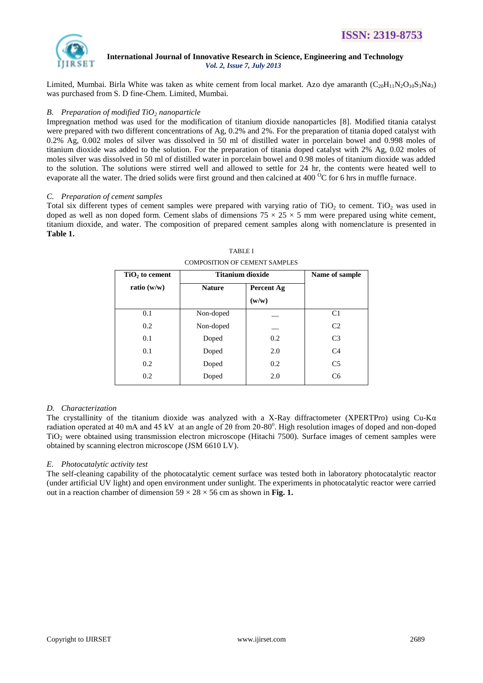

Limited, Mumbai. Birla White was taken as white cement from local market. Azo dye amaranth  $(C_{20}H_{11}N_2O_{10}S_3Na_3)$ was purchased from S. D fine-Chem. Limited, Mumbai.

## *B. Preparation of modified TiO<sup>2</sup> nanoparticle*

Impregnation method was used for the modification of titanium dioxide nanoparticles [8]. Modified titania catalyst were prepared with two different concentrations of Ag, 0.2% and 2%. For the preparation of titania doped catalyst with 0.2% Ag, 0.002 moles of silver was dissolved in 50 ml of distilled water in porcelain bowel and 0.998 moles of titanium dioxide was added to the solution. For the preparation of titania doped catalyst with 2% Ag, 0.02 moles of moles silver was dissolved in 50 ml of distilled water in porcelain bowel and 0.98 moles of titanium dioxide was added to the solution. The solutions were stirred well and allowed to settle for 24 hr, the contents were heated well to evaporate all the water. The dried solids were first ground and then calcined at  $400<sup>o</sup>C$  for 6 hrs in muffle furnace.

# *C. Preparation of cement samples*

Total six different types of cement samples were prepared with varying ratio of  $TiO<sub>2</sub>$  to cement. TiO<sub>2</sub> was used in doped as well as non doped form. Cement slabs of dimensions  $75 \times 25 \times 5$  mm were prepared using white cement, titanium dioxide, and water. The composition of prepared cement samples along with nomenclature is presented in **Table 1.**

| $TiO2$ to cement | <b>Titanium dioxide</b> | Name of sample |                |
|------------------|-------------------------|----------------|----------------|
| ratio $(w/w)$    | <b>Nature</b>           | Percent Ag     |                |
|                  |                         | (w/w)          |                |
| 0.1              | Non-doped               |                | C <sub>1</sub> |
| 0.2              | Non-doped               |                | C <sub>2</sub> |
| 0.1              | Doped                   | 0.2            | C <sub>3</sub> |
| 0.1              | Doped                   | 2.0            | C <sub>4</sub> |
| 0.2              | Doped                   | 0.2            | C <sub>5</sub> |
| 0.2              | Doped                   | 2.0            | C <sub>6</sub> |

TABLE I COMPOSITION OF CEMENT SAMPLES

# *D. Characterization*

The crystallinity of the titanium dioxide was analyzed with a X-Ray diffractometer (XPERTPro) using Cu-K $\alpha$ radiation operated at 40 mA and 45 kV at an angle of 2θ from 20-80°. High resolution images of doped and non-doped TiO<sup>2</sup> were obtained using transmission electron microscope (Hitachi 7500). Surface images of cement samples were obtained by scanning electron microscope (JSM 6610 LV).

# *E. Photocatalytic activity test*

The self-cleaning capability of the photocatalytic cement surface was tested both in laboratory photocatalytic reactor (under artificial UV light) and open environment under sunlight. The experiments in photocatalytic reactor were carried out in a reaction chamber of dimension  $59 \times 28 \times 56$  cm as shown in Fig. 1.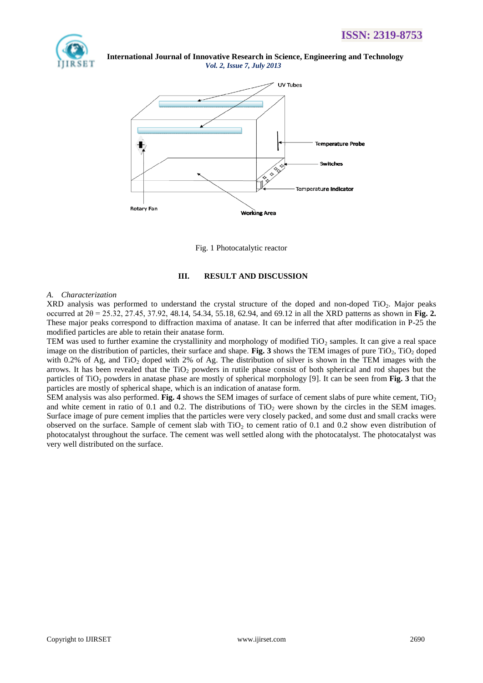



Fig. 1 Photocatalytic reactor

# **III. RESULT AND DISCUSSION**

## *A. Characterization*

XRD analysis was performed to understand the crystal structure of the doped and non-doped TiO<sub>2</sub>. Major peaks occurred at 2θ = 25.32, 27.45, 37.92, 48.14, 54.34, 55.18, 62.94, and 69.12 in all the XRD patterns as shown in **Fig. 2.** These major peaks correspond to diffraction maxima of anatase. It can be inferred that after modification in P-25 the modified particles are able to retain their anatase form.

TEM was used to further examine the crystallinity and morphology of modified  $TiO<sub>2</sub>$  samples. It can give a real space image on the distribution of particles, their surface and shape. **Fig. 3** shows the TEM images of pure  $TiO<sub>2</sub>$ ,  $TiO<sub>2</sub>$  doped with 0.2% of Ag, and TiO<sub>2</sub> doped with 2% of Ag. The distribution of silver is shown in the TEM images with the arrows. It has been revealed that the  $TiO<sub>2</sub>$  powders in rutile phase consist of both spherical and rod shapes but the particles of TiO<sub>2</sub> powders in anatase phase are mostly of spherical morphology [9]. It can be seen from **Fig.** 3 that the particles are mostly of spherical shape, which is an indication of anatase form.

SEM analysis was also performed. **Fig. 4** shows the SEM images of surface of cement slabs of pure white cement, TiO<sub>2</sub> and white cement in ratio of 0.1 and 0.2. The distributions of  $TiO<sub>2</sub>$  were shown by the circles in the SEM images. Surface image of pure cement implies that the particles were very closely packed, and some dust and small cracks were observed on the surface. Sample of cement slab with  $TiO<sub>2</sub>$  to cement ratio of 0.1 and 0.2 show even distribution of photocatalyst throughout the surface. The cement was well settled along with the photocatalyst. The photocatalyst was very well distributed on the surface.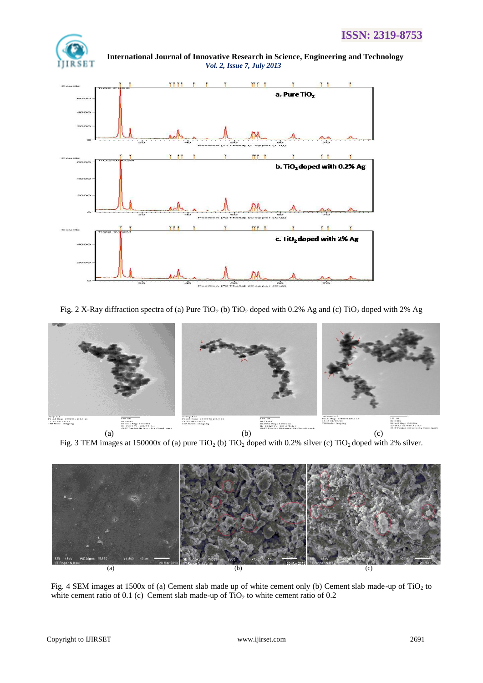

 **International Journal of Innovative Research in Science, Engineering and Technology** *Vol. 2, Issue 7, July 2013*



Fig. 2 X-Ray diffraction spectra of (a) Pure  $TiO<sub>2</sub>$  (b)  $TiO<sub>2</sub>$  doped with 0.2% Ag and (c)  $TiO<sub>2</sub>$  doped with 2% Ag



Fig. 3 TEM images at 150000x of (a) pure TiO<sub>2</sub> (b) TiO<sub>2</sub> doped with 0.2% silver (c) TiO<sub>2</sub> doped with 2% silver.



Fig. 4 SEM images at 1500x of (a) Cement slab made up of white cement only (b) Cement slab made-up of TiO<sub>2</sub> to white cement ratio of 0.1 (c) Cement slab made-up of  $TiO<sub>2</sub>$  to white cement ratio of 0.2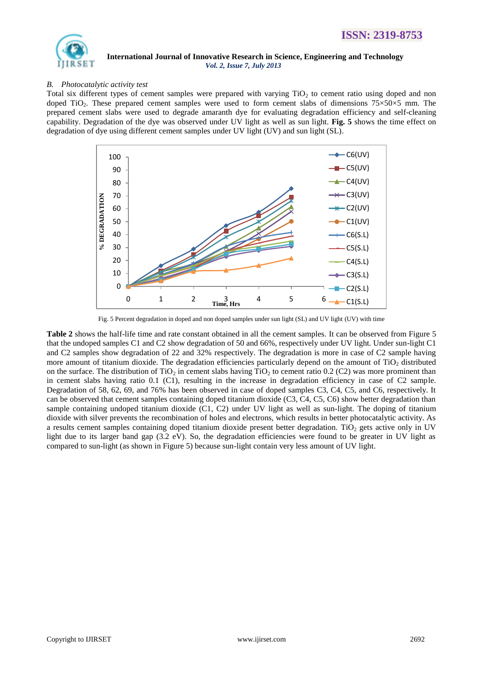

# *B. Photocatalytic activity test*

Total six different types of cement samples were prepared with varying  $TiO<sub>2</sub>$  to cement ratio using doped and non doped TiO<sub>2</sub>. These prepared cement samples were used to form cement slabs of dimensions  $75\times50\times5$  mm. The prepared cement slabs were used to degrade amaranth dye for evaluating degradation efficiency and self-cleaning capability. Degradation of the dye was observed under UV light as well as sun light. **Fig. 5** shows the time effect on degradation of dye using different cement samples under UV light (UV) and sun light (SL).



Fig. 5 Percent degradation in doped and non doped samples under sun light (SL) and UV light (UV) with time

**Table 2** shows the half-life time and rate constant obtained in all the cement samples. It can be observed from Figure 5 that the undoped samples C1 and C2 show degradation of 50 and 66%, respectively under UV light. Under sun-light C1 and C2 samples show degradation of 22 and 32% respectively. The degradation is more in case of C2 sample having more amount of titanium dioxide. The degradation efficiencies particularly depend on the amount of  $TiO<sub>2</sub>$  distributed on the surface. The distribution of TiO<sub>2</sub> in cement slabs having TiO<sub>2</sub> to cement ratio 0.2 (C2) was more prominent than in cement slabs having ratio 0.1 (C1), resulting in the increase in degradation efficiency in case of C2 sample. Degradation of 58, 62, 69, and 76% has been observed in case of doped samples C3, C4, C5, and C6, respectively. It can be observed that cement samples containing doped titanium dioxide (C3, C4, C5, C6) show better degradation than sample containing undoped titanium dioxide (C1, C2) under UV light as well as sun-light. The doping of titanium dioxide with silver prevents the recombination of holes and electrons, which results in better photocatalytic activity. As a results cement samples containing doped titanium dioxide present better degradation. TiO<sub>2</sub> gets active only in UV light due to its larger band gap (3.2 eV). So, the degradation efficiencies were found to be greater in UV light as compared to sun-light (as shown in Figure 5) because sun-light contain very less amount of UV light.